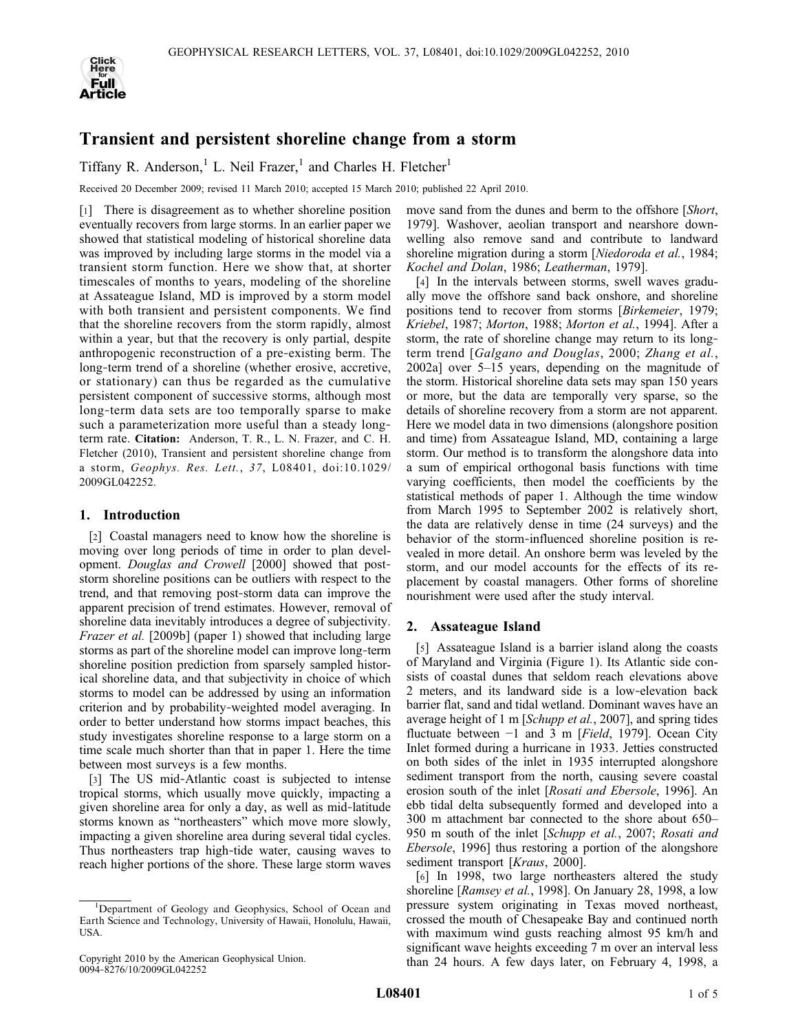

# Transient and persistent shoreline change from a storm

Tiffany R. Anderson,<sup>1</sup> L. Neil Frazer,<sup>1</sup> and Charles H. Fletcher<sup>1</sup>

Received 20 December 2009; revised 11 March 2010; accepted 15 March 2010; published 22 April 2010.

[1] There is disagreement as to whether shoreline position eventually recovers from large storms. In an earlier paper we showed that statistical modeling of historical shoreline data was improved by including large storms in the model via a transient storm function. Here we show that, at shorter timescales of months to years, modeling of the shoreline at Assateague Island, MD is improved by a storm model with both transient and persistent components. We find that the shoreline recovers from the storm rapidly, almost within a year, but that the recovery is only partial, despite anthropogenic reconstruction of a pre‐existing berm. The long‐term trend of a shoreline (whether erosive, accretive, or stationary) can thus be regarded as the cumulative persistent component of successive storms, although most long‐term data sets are too temporally sparse to make such a parameterization more useful than a steady longterm rate. Citation: Anderson, T. R., L. N. Frazer, and C. H. Fletcher (2010), Transient and persistent shoreline change from a storm, Geophys. Res. Lett., 37, L08401, doi:10.1029/ 2009GL042252.

## 1. Introduction

[2] Coastal managers need to know how the shoreline is moving over long periods of time in order to plan development. Douglas and Crowell [2000] showed that poststorm shoreline positions can be outliers with respect to the trend, and that removing post‐storm data can improve the apparent precision of trend estimates. However, removal of shoreline data inevitably introduces a degree of subjectivity. Frazer et al. [2009b] (paper 1) showed that including large storms as part of the shoreline model can improve long‐term shoreline position prediction from sparsely sampled historical shoreline data, and that subjectivity in choice of which storms to model can be addressed by using an information criterion and by probability‐weighted model averaging. In order to better understand how storms impact beaches, this study investigates shoreline response to a large storm on a time scale much shorter than that in paper 1. Here the time between most surveys is a few months.

[3] The US mid-Atlantic coast is subjected to intense tropical storms, which usually move quickly, impacting a given shoreline area for only a day, as well as mid‐latitude storms known as "northeasters" which move more slowly, impacting a given shoreline area during several tidal cycles. Thus northeasters trap high‐tide water, causing waves to reach higher portions of the shore. These large storm waves

move sand from the dunes and berm to the offshore [Short, 1979]. Washover, aeolian transport and nearshore downwelling also remove sand and contribute to landward shoreline migration during a storm [Niedoroda et al., 1984; Kochel and Dolan, 1986; Leatherman, 1979].

[4] In the intervals between storms, swell waves gradually move the offshore sand back onshore, and shoreline positions tend to recover from storms [Birkemeier, 1979; Kriebel, 1987; Morton, 1988; Morton et al., 1994]. After a storm, the rate of shoreline change may return to its long– term trend [Galgano and Douglas, 2000; Zhang et al., 2002a] over 5–15 years, depending on the magnitude of the storm. Historical shoreline data sets may span 150 years or more, but the data are temporally very sparse, so the details of shoreline recovery from a storm are not apparent. Here we model data in two dimensions (alongshore position and time) from Assateague Island, MD, containing a large storm. Our method is to transform the alongshore data into a sum of empirical orthogonal basis functions with time varying coefficients, then model the coefficients by the statistical methods of paper 1. Although the time window from March 1995 to September 2002 is relatively short, the data are relatively dense in time (24 surveys) and the behavior of the storm‐influenced shoreline position is revealed in more detail. An onshore berm was leveled by the storm, and our model accounts for the effects of its replacement by coastal managers. Other forms of shoreline nourishment were used after the study interval.

## 2. Assateague Island

[5] Assateague Island is a barrier island along the coasts of Maryland and Virginia (Figure 1). Its Atlantic side consists of coastal dunes that seldom reach elevations above 2 meters, and its landward side is a low‐elevation back barrier flat, sand and tidal wetland. Dominant waves have an average height of 1 m [Schupp et al., 2007], and spring tides fluctuate between −1 and 3 m [Field, 1979]. Ocean City Inlet formed during a hurricane in 1933. Jetties constructed on both sides of the inlet in 1935 interrupted alongshore sediment transport from the north, causing severe coastal erosion south of the inlet [Rosati and Ebersole, 1996]. An ebb tidal delta subsequently formed and developed into a 300 m attachment bar connected to the shore about 650– 950 m south of the inlet [Schupp et al., 2007; Rosati and Ebersole, 1996] thus restoring a portion of the alongshore sediment transport [Kraus, 2000].

[6] In 1998, two large northeasters altered the study shoreline [Ramsey et al., 1998]. On January 28, 1998, a low pressure system originating in Texas moved northeast, crossed the mouth of Chesapeake Bay and continued north with maximum wind gusts reaching almost 95 km/h and significant wave heights exceeding 7 m over an interval less than 24 hours. A few days later, on February 4, 1998, a

<sup>&</sup>lt;sup>1</sup>Department of Geology and Geophysics, School of Ocean and Earth Science and Technology, University of Hawaii, Honolulu, Hawaii, USA.

Copyright 2010 by the American Geophysical Union. 0094‐8276/10/2009GL042252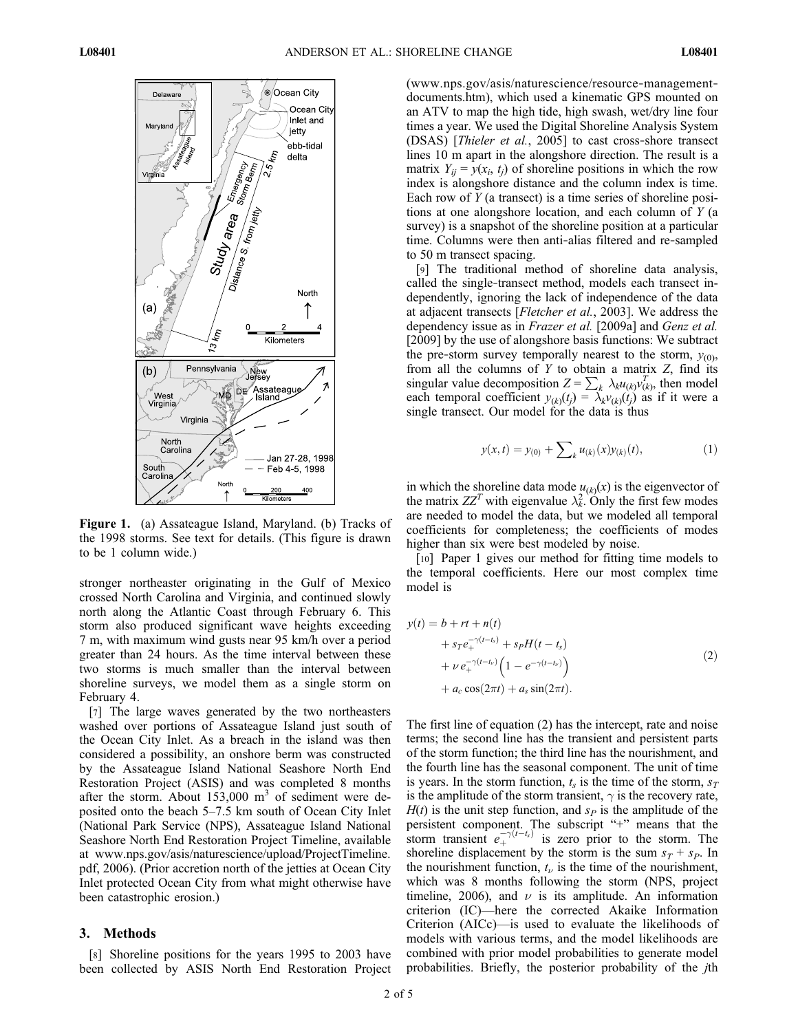

Figure 1. (a) Assateague Island, Maryland. (b) Tracks of the 1998 storms. See text for details. (This figure is drawn to be 1 column wide.)

stronger northeaster originating in the Gulf of Mexico crossed North Carolina and Virginia, and continued slowly north along the Atlantic Coast through February 6. This storm also produced significant wave heights exceeding 7 m, with maximum wind gusts near 95 km/h over a period greater than 24 hours. As the time interval between these two storms is much smaller than the interval between shoreline surveys, we model them as a single storm on February 4.

[7] The large waves generated by the two northeasters washed over portions of Assateague Island just south of the Ocean City Inlet. As a breach in the island was then considered a possibility, an onshore berm was constructed by the Assateague Island National Seashore North End Restoration Project (ASIS) and was completed 8 months after the storm. About  $153,000$  m<sup>3</sup> of sediment were deposited onto the beach 5–7.5 km south of Ocean City Inlet (National Park Service (NPS), Assateague Island National Seashore North End Restoration Project Timeline, available at www.nps.gov/asis/naturescience/upload/ProjectTimeline. pdf, 2006). (Prior accretion north of the jetties at Ocean City Inlet protected Ocean City from what might otherwise have been catastrophic erosion.)

#### 3. Methods

[8] Shoreline positions for the years 1995 to 2003 have been collected by ASIS North End Restoration Project (www.nps.gov/asis/naturescience/resource‐management‐ documents.htm), which used a kinematic GPS mounted on an ATV to map the high tide, high swash, wet/dry line four times a year. We used the Digital Shoreline Analysis System (DSAS) [Thieler et al., 2005] to cast cross‐shore transect lines 10 m apart in the alongshore direction. The result is a matrix  $Y_{ij} = y(x_i, t_j)$  of shoreline positions in which the row index is alongshore distance and the column index is time. Each row of  $Y$  (a transect) is a time series of shoreline positions at one alongshore location, and each column of Y (a survey) is a snapshot of the shoreline position at a particular time. Columns were then anti-alias filtered and re-sampled to 50 m transect spacing.

[9] The traditional method of shoreline data analysis, called the single‐transect method, models each transect independently, ignoring the lack of independence of the data at adjacent transects [Fletcher et al., 2003]. We address the dependency issue as in *Frazer et al.* [2009a] and *Genz et al.* [2009] by the use of alongshore basis functions: We subtract the pre-storm survey temporally nearest to the storm,  $y_{(0)}$ , from all the columns of  $Y$  to obtain a matrix  $Z$ , find its singular value decomposition  $Z = \sum_k \lambda_k u_{(k)} v_{(k)}^T$ , then model<br>each temporal coefficient  $v_{(k)}(t) = \lambda_k v_{(k)}(t)$  as if it were a each temporal coefficient  $y_{(k)}(t_j) = \lambda_k v_{(k)}(t_j)$  as if it were a single transect. Our model for the data is thus single transect. Our model for the data is thus

$$
y(x,t) = y_{(0)} + \sum_{k} u_{(k)}(x) y_{(k)}(t), \qquad (1)
$$

in which the shoreline data mode  $u_{(k)}(x)$  is the eigenvector of the matrix  $ZZ^T$  with eigenvalue  $\lambda_k^2$ . Only the first few modes are needed to model the data but we modeled all temporal are needed to model the data, but we modeled all temporal coefficients for completeness; the coefficients of modes higher than six were best modeled by noise.

[10] Paper 1 gives our method for fitting time models to the temporal coefficients. Here our most complex time model is

$$
y(t) = b + rt + n(t)
$$
  
+  $sr e_{+}^{-\gamma(t-t_s)} + s_P H(t-t_s)$   
+  $\nu e_{+}^{-\gamma(t-t_\nu)} \left(1 - e^{-\gamma(t-t_\nu)}\right)$   
+  $a_c \cos(2\pi t) + a_s \sin(2\pi t).$  (2)

The first line of equation (2) has the intercept, rate and noise terms; the second line has the transient and persistent parts of the storm function; the third line has the nourishment, and the fourth line has the seasonal component. The unit of time is years. In the storm function,  $t_s$  is the time of the storm,  $s_T$ is the amplitude of the storm transient,  $\gamma$  is the recovery rate,  $H(t)$  is the unit step function, and  $s<sub>P</sub>$  is the amplitude of the persistent component. The subscript "+" means that the storm transient  $e_{+}^{-\gamma(t-t_s)}$  is zero prior to the storm. The shoreline displacement by the storm is the sum  $s_T + s_P$ . In the nourishment function,  $t_{\nu}$  is the time of the nourishment, which was 8 months following the storm (NPS, project timeline, 2006), and  $\nu$  is its amplitude. An information criterion (IC)—here the corrected Akaike Information Criterion (AICc)—is used to evaluate the likelihoods of models with various terms, and the model likelihoods are combined with prior model probabilities to generate model probabilities. Briefly, the posterior probability of the jth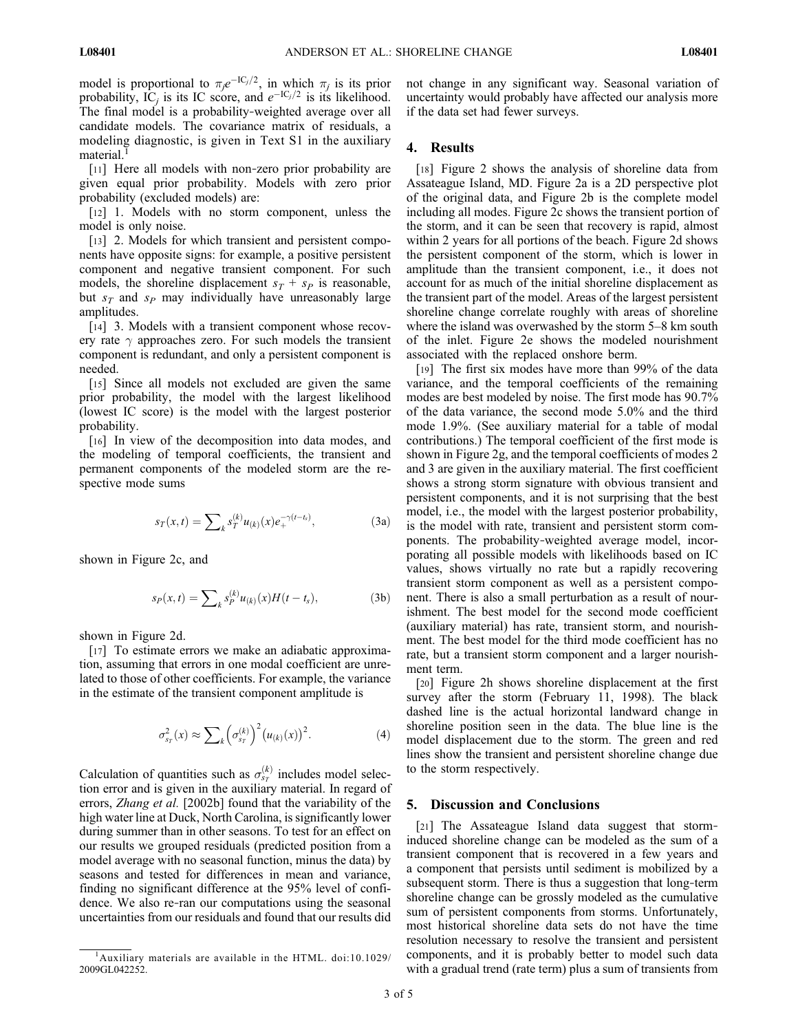model is proportional to  $\pi_j e^{-IC_j/2}$ , in which  $\pi_j$  is its prior<br>probability IC is its IC score, and  $e^{-IC_j/2}$  is its likelihood probability,  $IC_j$  is its IC score, and  $e^{-IC_j/2}$  is its likelihood. The final model is a probability‐weighted average over all candidate models. The covariance matrix of residuals, a modeling diagnostic, is given in Text S1 in the auxiliary material.<sup>1</sup>

[11] Here all models with non-zero prior probability are given equal prior probability. Models with zero prior probability (excluded models) are:

[12] 1. Models with no storm component, unless the model is only noise.

[13] 2. Models for which transient and persistent components have opposite signs: for example, a positive persistent component and negative transient component. For such models, the shoreline displacement  $s_T + s_P$  is reasonable, but  $s_T$  and  $s_P$  may individually have unreasonably large amplitudes.

[14] 3. Models with a transient component whose recovery rate  $\gamma$  approaches zero. For such models the transient component is redundant, and only a persistent component is needed.

[15] Since all models not excluded are given the same prior probability, the model with the largest likelihood (lowest IC score) is the model with the largest posterior probability.

[16] In view of the decomposition into data modes, and the modeling of temporal coefficients, the transient and permanent components of the modeled storm are the respective mode sums

$$
s_T(x,t) = \sum\nolimits_k s_T^{(k)} u_{(k)}(x) e_+^{-\gamma(t-t_s)}, \tag{3a}
$$

shown in Figure 2c, and

$$
s_P(x,t) = \sum_{k} s_P^{(k)} u_{(k)}(x) H(t - t_s),
$$
 (3b)

shown in Figure 2d.

[17] To estimate errors we make an adiabatic approximation, assuming that errors in one modal coefficient are unrelated to those of other coefficients. For example, the variance in the estimate of the transient component amplitude is

$$
\sigma_{s_T}^2(x) \approx \sum_k \left(\sigma_{s_T}^{(k)}\right)^2 \left(u_{(k)}(x)\right)^2. \tag{4}
$$

Calculation of quantities such as  $\sigma_{s_{T}}^{(k)}$  includes model selection error and is given in the auxiliary material. In regard of errors, *Zhang et al.* [2002b] found that the variability of the high water line at Duck, North Carolina, is significantly lower during summer than in other seasons. To test for an effect on our results we grouped residuals (predicted position from a model average with no seasonal function, minus the data) by seasons and tested for differences in mean and variance, finding no significant difference at the 95% level of confidence. We also re‐ran our computations using the seasonal uncertainties from our residuals and found that our results did

not change in any significant way. Seasonal variation of uncertainty would probably have affected our analysis more if the data set had fewer surveys.

# 4. Results

[18] Figure 2 shows the analysis of shoreline data from Assateague Island, MD. Figure 2a is a 2D perspective plot of the original data, and Figure 2b is the complete model including all modes. Figure 2c shows the transient portion of the storm, and it can be seen that recovery is rapid, almost within 2 years for all portions of the beach. Figure 2d shows the persistent component of the storm, which is lower in amplitude than the transient component, i.e., it does not account for as much of the initial shoreline displacement as the transient part of the model. Areas of the largest persistent shoreline change correlate roughly with areas of shoreline where the island was overwashed by the storm 5–8 km south of the inlet. Figure 2e shows the modeled nourishment associated with the replaced onshore berm.

[19] The first six modes have more than 99% of the data variance, and the temporal coefficients of the remaining modes are best modeled by noise. The first mode has 90.7% of the data variance, the second mode 5.0% and the third mode 1.9%. (See auxiliary material for a table of modal contributions.) The temporal coefficient of the first mode is shown in Figure 2g, and the temporal coefficients of modes 2 and 3 are given in the auxiliary material. The first coefficient shows a strong storm signature with obvious transient and persistent components, and it is not surprising that the best model, i.e., the model with the largest posterior probability, is the model with rate, transient and persistent storm components. The probability‐weighted average model, incorporating all possible models with likelihoods based on IC values, shows virtually no rate but a rapidly recovering transient storm component as well as a persistent component. There is also a small perturbation as a result of nourishment. The best model for the second mode coefficient (auxiliary material) has rate, transient storm, and nourishment. The best model for the third mode coefficient has no rate, but a transient storm component and a larger nourishment term.

[20] Figure 2h shows shoreline displacement at the first survey after the storm (February 11, 1998). The black dashed line is the actual horizontal landward change in shoreline position seen in the data. The blue line is the model displacement due to the storm. The green and red lines show the transient and persistent shoreline change due to the storm respectively.

#### 5. Discussion and Conclusions

[21] The Assateague Island data suggest that storminduced shoreline change can be modeled as the sum of a transient component that is recovered in a few years and a component that persists until sediment is mobilized by a subsequent storm. There is thus a suggestion that long‐term shoreline change can be grossly modeled as the cumulative sum of persistent components from storms. Unfortunately, most historical shoreline data sets do not have the time resolution necessary to resolve the transient and persistent components, and it is probably better to model such data with a gradual trend (rate term) plus a sum of transients from

<sup>&</sup>lt;sup>1</sup>Auxiliary materials are available in the HTML. doi:10.1029/ 2009GL042252.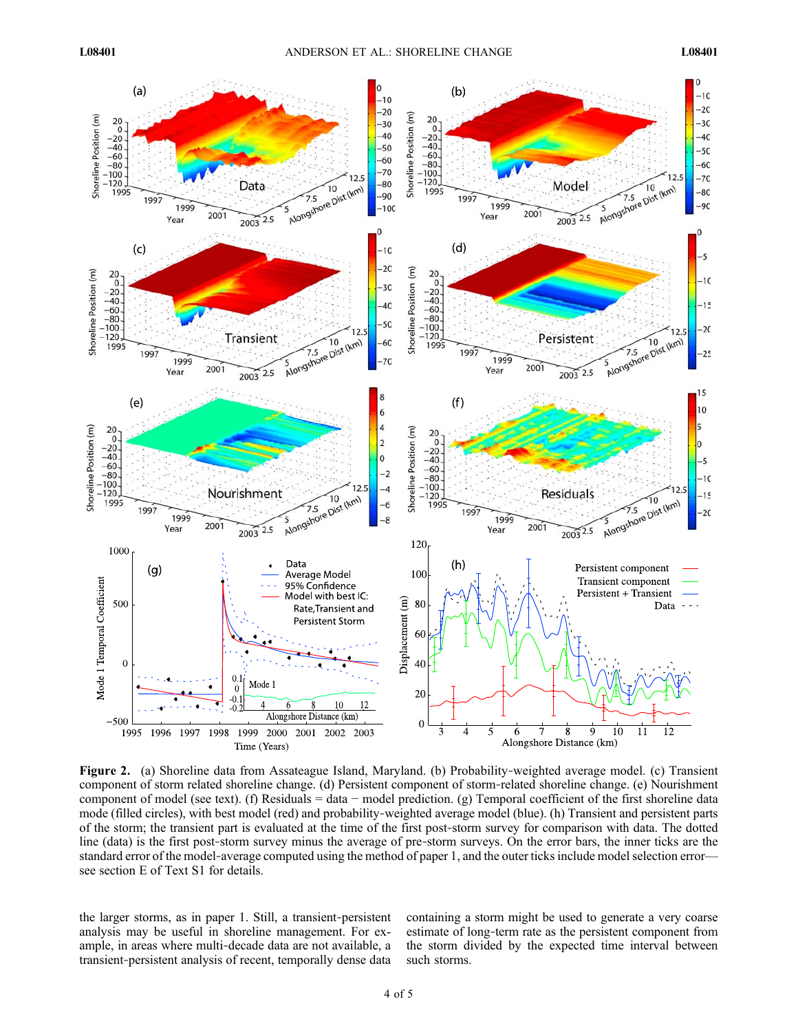

Figure 2. (a) Shoreline data from Assateague Island, Maryland. (b) Probability‐weighted average model. (c) Transient component of storm related shoreline change. (d) Persistent component of storm‐related shoreline change. (e) Nourishment component of model (see text). (f) Residuals = data − model prediction. (g) Temporal coefficient of the first shoreline data mode (filled circles), with best model (red) and probability-weighted average model (blue). (h) Transient and persistent parts of the storm; the transient part is evaluated at the time of the first post‐storm survey for comparison with data. The dotted line (data) is the first post-storm survey minus the average of pre-storm surveys. On the error bars, the inner ticks are the standard error of the model-average computed using the method of paper 1, and the outer ticks include model selection error see section E of Text S1 for details.

the larger storms, as in paper 1. Still, a transient‐persistent analysis may be useful in shoreline management. For example, in areas where multi‐decade data are not available, a transient‐persistent analysis of recent, temporally dense data

containing a storm might be used to generate a very coarse estimate of long‐term rate as the persistent component from the storm divided by the expected time interval between such storms.